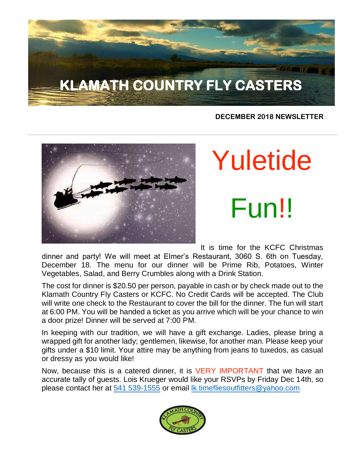# **KLAMATH COUNTRY FLY CASTERS**

#### **DECEMBER 2018 NEWSLETTER**



# Yuletide Fun!!

It is time for the KCFC Christmas

dinner and party! We will meet at Elmer's Restaurant, 3060 S. 6th on Tuesday, December 18. The menu for our dinner will be Prime Rib, Potatoes, Winter Vegetables, Salad, and Berry Crumbles along with a Drink Station.

The cost for dinner is \$20.50 per person, payable in cash or by check made out to the Klamath Country Fly Casters or KCFC. No Credit Cards will be accepted. The Club will write one check to the Restaurant to cover the bill for the dinner. The fun will start at 6:00 PM. You will be handed a ticket as you arrive which will be your chance to win a door prize! Dinner will be served at 7:00 PM.

In keeping with our tradition, we will have a gift exchange. Ladies, please bring a wrapped gift for another lady; gentlemen, likewise, for another man. Please keep your gifts under a \$10 limit. Your attire may be anything from jeans to tuxedos, as casual or dressy as you would like!

Now, because this is a catered dinner, it is VERY IMPORTANT that we have an accurate tally of guests. Lois Krueger would like your RSVPs by Friday Dec 14th, so please contact her at [541 539-1555](tel:(541)%20539-1555) or email [lk.timefliesoutfitters@yahoo.com](http://lk.timefliesoutfitters@yahoo.com/)

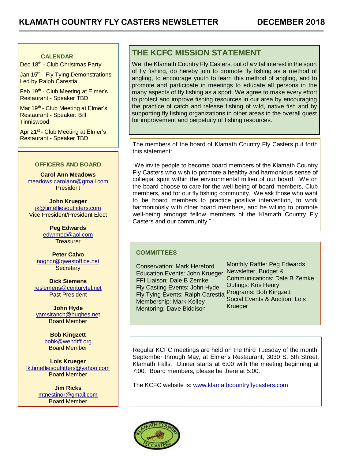#### **CALENDAR**

Dec 18<sup>th</sup> - Club Christmas Party

Jan 15<sup>th</sup> - Fly Tying Demonstrations Led by Ralph Carestia

Feb 19<sup>th</sup> - Club Meeting at Elmer's Restaurant - Speaker TBD

Mar 19<sup>th</sup> - Club Meeting at Elmer's Restaurant - Speaker: Bill **Tinniswood** 

Apr 21<sup>st</sup> - Club Meeting at Elmer's Restaurant - Speaker TBD

#### **OFFICERS AND BOARD**

**Carol Ann Meadows** [meadows.carolann@gmail.com](http://meadows.carolann@gmail.com/) **President** 

**John Krueger** [jk@timefliesoutfitters.com](http://jk@timefliesoutfitters.com/) Vice President/President Elect

> **Peg Edwards** [edwrmed@aol.com](mailto:edwrmed@aol.com) **Treasurer**

**Peter Calvo** [nogndr@qwestoffice.net](mailto:nogndr@qwestoffice.net) **Secretary** 

**Dick Siemens** [resiemens@centurytel.net](mailto:resiemens@centurytel.net) Past President

**John Hyde** [yamsiranch@hughes.net](mailto:yamsiranch@hughes.ne) Board Member

> **Bob Kingzett** [bobk@wendtff.org](mailto:bobk@jeld-wen.com) Board Member

**Lois Krueger** [lk.timefliesoutfitters@yahoo.com](mailto:lk.timefliesoutfitters@yahoo.com) Board Member

> **Jim Ricks** [mtnestinor@gmail.com](mailto:mtnestinor@gmail.com) Board Member

#### **THE KCFC MISSION STATEMENT**

We, the Klamath Country Fly Casters, out of a vital interest in the sport of fly fishing, do hereby join to promote fly fishing as a method of angling, to encourage youth to learn this method of angling, and to promote and participate in meetings to educate all persons in the many aspects of fly fishing as a sport. We agree to make every effort to protect and improve fishing resources in our area by encouraging the practice of catch and release fishing of wild, native fish and by supporting fly fishing organizations in other areas in the overall quest for improvement and perpetuity of fishing resources.

The members of the board of Klamath Country Fly Casters put forth this statement:

"We invite people to become board members of the Klamath Country Fly Casters who wish to promote a healthy and harmonious sense of collegial spirit within the environmental milieu of our board. We on the board choose to care for the well-being of board members, Club members, and for our fly fishing community. We ask those who want to be board members to practice positive intervention, to work harmoniously with other board members, and be willing to promote well-being amongst fellow members of the Klamath Country Fly Casters and our community."

#### **COMMITTEES**

Conservation: Mark Hereford Education Events: John Krueger FFI Liaison: Dale B Zemke Fly Casting Events: John Hyde Fly Tying Events: Ralph Carestia Membership: Mark Kelley Mentoring: Dave Biddison

Monthly Raffle: Peg Edwards Newsletter, Budget & Communications: Dale B Zemke Outings: Kris Henry Programs: Bob Kingzett Social Events & Auction: Lois Krueger

Regular KCFC meetings are held on the third Tuesday of the month, September through May, at Elmer's Restaurant, 3030 S. 6th Street, Klamath Falls. Dinner starts at 6:00 with the meeting beginning at 7:00. Board members, please be there at 5:00.

The KCFC website is: [www.klamathcountryflycasters.com](http://www.klamathcountryflycasters.com/)

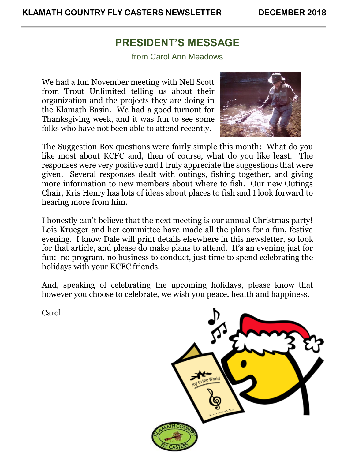### **PRESIDENT'S MESSAGE**

from Carol Ann Meadows

We had a fun November meeting with Nell Scott from Trout Unlimited telling us about their organization and the projects they are doing in the Klamath Basin. We had a good turnout for Thanksgiving week, and it was fun to see some folks who have not been able to attend recently.



The Suggestion Box questions were fairly simple this month: What do you like most about KCFC and, then of course, what do you like least. The responses were very positive and I truly appreciate the suggestions that were given. Several responses dealt with outings, fishing together, and giving more information to new members about where to fish. Our new Outings Chair, Kris Henry has lots of ideas about places to fish and I look forward to hearing more from him.

I honestly can't believe that the next meeting is our annual Christmas party! Lois Krueger and her committee have made all the plans for a fun, festive evening. I know Dale will print details elsewhere in this newsletter, so look for that article, and please do make plans to attend. It's an evening just for fun: no program, no business to conduct, just time to spend celebrating the holidays with your KCFC friends.

And, speaking of celebrating the upcoming holidays, please know that however you choose to celebrate, we wish you peace, health and happiness.

Carol

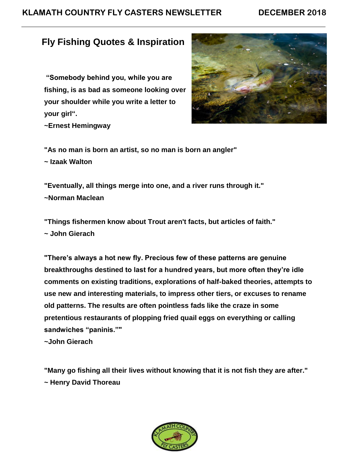#### **KLAMATH COUNTRY FLY CASTERS NEWSLETTER DECEMBER 2018**

#### **Fly Fishing Quotes & Inspiration**

**"Somebody behind you, while you are fishing, is as bad as someone looking over your shoulder while you write a letter to your girl".**



**~Ernest Hemingway**

**"As no man is born an artist, so no man is born an angler"**

**~ Izaak Walton**

**"Eventually, all things merge into one, and a river runs through it." ~Norman Maclean**

**"Things fishermen know about Trout aren't facts, but articles of faith."**

**~ John Gierach**

**"There's always a hot new fly. Precious few of these patterns are genuine breakthroughs destined to last for a hundred years, but more often they're idle comments on existing traditions, explorations of half-baked theories, attempts to use new and interesting materials, to impress other tiers, or excuses to rename old patterns. The results are often pointless fads like the craze in some pretentious restaurants of plopping fried quail eggs on everything or calling sandwiches "paninis.""**

**~John Gierach**

**"Many go fishing all their lives without knowing that it is not fish they are after." ~ Henry David Thoreau**

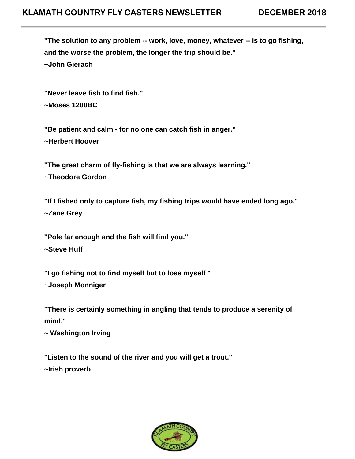**"The solution to any problem -- work, love, money, whatever -- is to go fishing, and the worse the problem, the longer the trip should be." ~John Gierach**

**"Never leave fish to find fish." ~Moses 1200BC**

**"Be patient and calm - for no one can catch fish in anger." ~Herbert Hoover**

**"The great charm of fly-fishing is that we are always learning."**

**~Theodore Gordon**

**"If I fished only to capture fish, my fishing trips would have ended long ago." ~Zane Grey**

**"Pole far enough and the fish will find you." ~Steve Huff**

**"I go fishing not to find myself but to lose myself " ~Joseph Monniger**

**"There is certainly something in angling that tends to produce a serenity of mind."**

**~ Washington Irving**

**"Listen to the sound of the river and you will get a trout."**

**~Irish proverb**

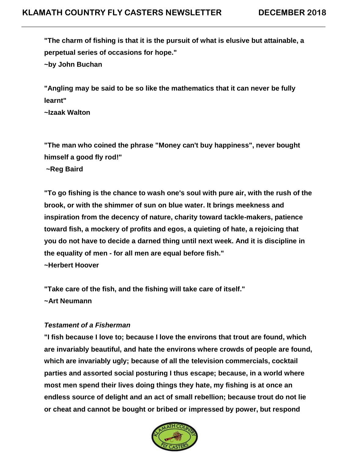**"The charm of fishing is that it is the pursuit of what is elusive but attainable, a perpetual series of occasions for hope."**

**~by John Buchan**

**"Angling may be said to be so like the mathematics that it can never be fully learnt"**

**~Izaak Walton**

**"The man who coined the phrase "Money can't buy happiness", never bought himself a good fly rod!"**

**~Reg Baird**

**"To go fishing is the chance to wash one's soul with pure air, with the rush of the brook, or with the shimmer of sun on blue water. It brings meekness and inspiration from the decency of nature, charity toward tackle-makers, patience toward fish, a mockery of profits and egos, a quieting of hate, a rejoicing that you do not have to decide a darned thing until next week. And it is discipline in the equality of men - for all men are equal before fish." ~Herbert Hoover**

**"Take care of the fish, and the fishing will take care of itself." ~Art Neumann**

#### *Testament of a Fisherman*

**"I fish because I love to; because I love the environs that trout are found, which are invariably beautiful, and hate the environs where crowds of people are found, which are invariably ugly; because of all the television commercials, cocktail parties and assorted social posturing I thus escape; because, in a world where most men spend their lives doing things they hate, my fishing is at once an endless source of delight and an act of small rebellion; because trout do not lie or cheat and cannot be bought or bribed or impressed by power, but respond** 

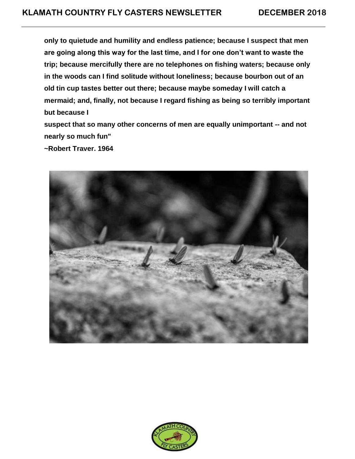**only to quietude and humility and endless patience; because I suspect that men are going along this way for the last time, and I for one don't want to waste the trip; because mercifully there are no telephones on fishing waters; because only in the woods can I find solitude without loneliness; because bourbon out of an old tin cup tastes better out there; because maybe someday I will catch a mermaid; and, finally, not because I regard fishing as being so terribly important but because I**

**suspect that so many other concerns of men are equally unimportant -- and not nearly so much fun"**

**~Robert Traver. 1964**



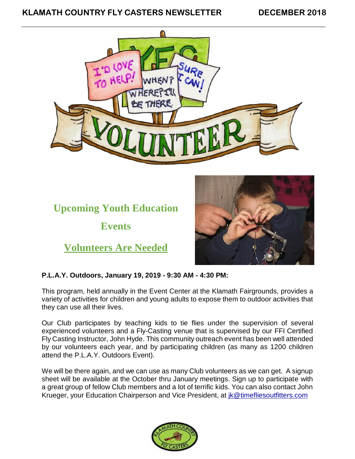#### **KLAMATH COUNTRY FLY CASTERS NEWSLETTER DECEMBER 2018**



# **Upcoming Youth Education**

**Events**

**Volunteers Are Needed**



#### **P.L.A.Y. Outdoors, January 19, 2019 - 9:30 AM - 4:30 PM:**

This program, held annually in the Event Center at the Klamath Fairgrounds, provides a variety of activities for children and young adults to expose them to outdoor activities that they can use all their lives.

Our Club participates by teaching kids to tie flies under the supervision of several experienced volunteers and a Fly-Casting venue that is supervised by our FFI Certified Fly Casting Instructor, John Hyde. This community outreach event has been well attended by our volunteers each year, and by participating children (as many as 1200 children attend the P.L.A.Y. Outdoors Event).

We will be there again, and we can use as many Club volunteers as we can get. A signup sheet will be available at the October thru January meetings. Sign up to participate with a great group of fellow Club members and a lot of terrific kids. You can also contact John Krueger, your Education Chairperson and Vice President, at [jk@timefliesoutfitters.com](http://jk@timefliesoutfitters.com/)

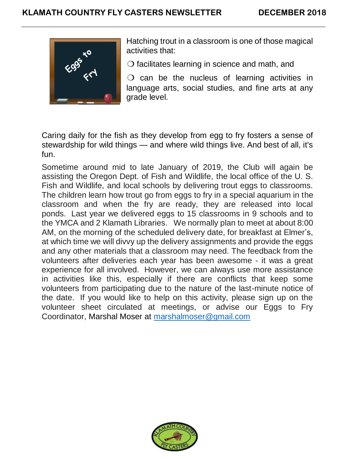

Hatching trout in a classroom is one of those magical activities that:

❍ facilitates learning in science and math, and

 $\overline{O}$  can be the nucleus of learning activities in language arts, social studies, and fine arts at any grade level.

Caring daily for the fish as they develop from egg to fry fosters a sense of stewardship for wild things — and where wild things live. And best of all, it's fun.

Sometime around mid to late January of 2019, the Club will again be assisting the Oregon Dept. of Fish and Wildlife, the local office of the U. S. Fish and Wildlife, and local schools by delivering trout eggs to classrooms. The children learn how trout go from eggs to fry in a special aquarium in the classroom and when the fry are ready, they are released into local ponds. Last year we delivered eggs to 15 classrooms in 9 schools and to the YMCA and 2 Klamath Libraries. We normally plan to meet at about 8:00 AM, on the morning of the scheduled delivery date, for breakfast at Elmer's, at which time we will divvy up the delivery assignments and provide the eggs and any other materials that a classroom may need. The feedback from the volunteers after deliveries each year has been awesome - it was a great experience for all involved. However, we can always use more assistance in activities like this, especially if there are conflicts that keep some volunteers from participating due to the nature of the last-minute notice of the date. If you would like to help on this activity, please sign up on the volunteer sheet circulated at meetings, or advise our Eggs to Fry Coordinator, Marshal Moser at [marshalmoser@gmail.com](mailto:marshalmoser@gmail.com)

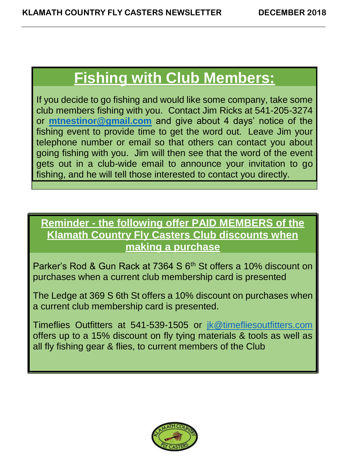## **Fishing with Club Members:**

If you decide to go fishing and would like some company, take some club members fishing with you. Contact Jim Ricks at 541-205-3274 or **[mtnestinor@gmail.com](mailto:mtnestinor@gmail.com)** and give about 4 days' notice of the fishing event to provide time to get the word out. Leave Jim your telephone number or email so that others can contact you about going fishing with you. Jim will then see that the word of the event gets out in a club-wide email to announce your invitation to go fishing, and he will tell those interested to contact you directly.

## **Reminder - the following offer PAID MEMBERS of the Klamath Country Fly Casters Club discounts when making a purchase**

Parker's Rod & Gun Rack at 7364 S 6<sup>th</sup> St offers a 10% discount on purchases when a current club membership card is presented

The Ledge at 369 S 6th St offers a 10% discount on purchases when a current club membership card is presented.

Timeflies Outfitters at 541-539-1505 or [jk@timefliesoutfitters.com](mailto:jk@timefliesoutfitters.com) offers up to a 15% discount on fly tying materials & tools as well as all fly fishing gear & flies, to current members of the Club

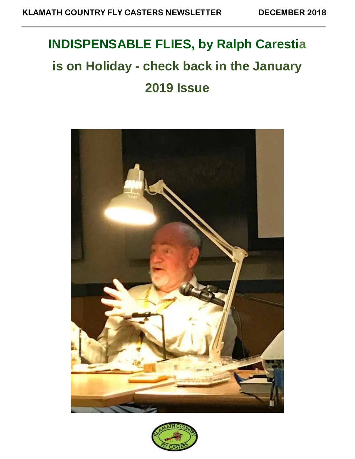# **INDISPENSABLE FLIES, by Ralph Carestia is on Holiday - check back in the January 2019 Issue**